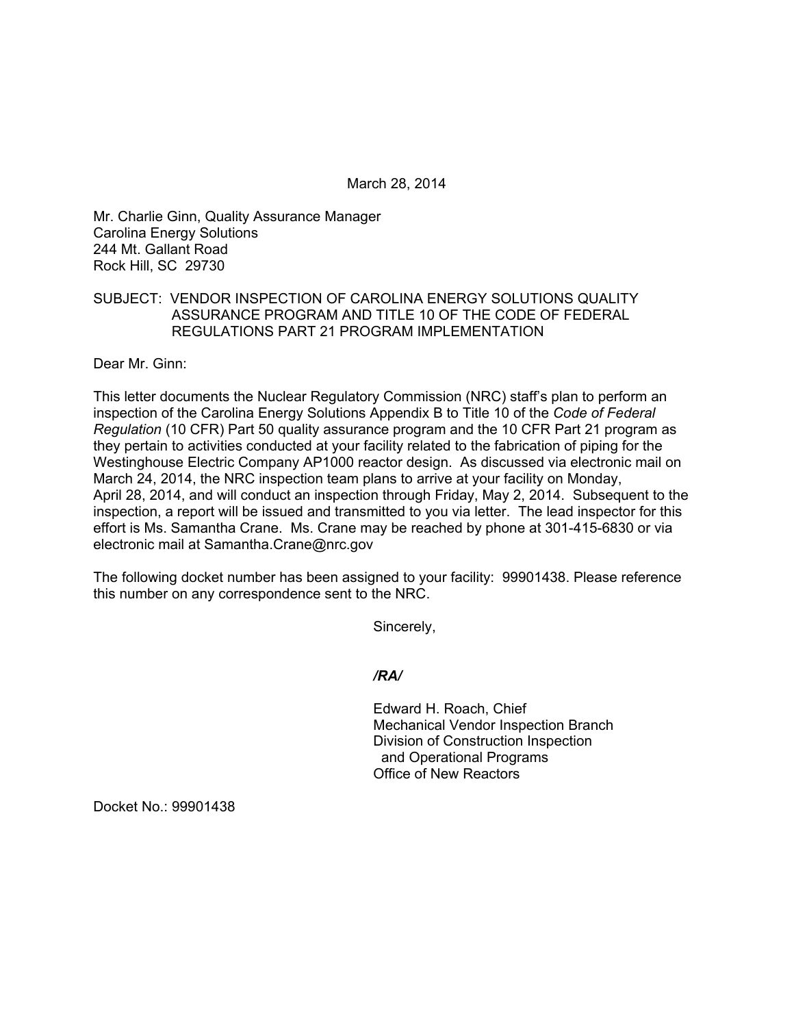March 28, 2014

Mr. Charlie Ginn, Quality Assurance Manager Carolina Energy Solutions 244 Mt. Gallant Road Rock Hill, SC 29730

## SUBJECT: VENDOR INSPECTION OF CAROLINA ENERGY SOLUTIONS QUALITY ASSURANCE PROGRAM AND TITLE 10 OF THE CODE OF FEDERAL REGULATIONS PART 21 PROGRAM IMPLEMENTATION

Dear Mr. Ginn:

This letter documents the Nuclear Regulatory Commission (NRC) staff's plan to perform an inspection of the Carolina Energy Solutions Appendix B to Title 10 of the *Code of Federal Regulation* (10 CFR) Part 50 quality assurance program and the 10 CFR Part 21 program as they pertain to activities conducted at your facility related to the fabrication of piping for the Westinghouse Electric Company AP1000 reactor design. As discussed via electronic mail on March 24, 2014, the NRC inspection team plans to arrive at your facility on Monday, April 28, 2014, and will conduct an inspection through Friday, May 2, 2014. Subsequent to the inspection, a report will be issued and transmitted to you via letter. The lead inspector for this effort is Ms. Samantha Crane. Ms. Crane may be reached by phone at 301-415-6830 or via electronic mail at Samantha.Crane@nrc.gov

The following docket number has been assigned to your facility: 99901438. Please reference this number on any correspondence sent to the NRC.

Sincerely,

#### */RA/*

Edward H. Roach, Chief Mechanical Vendor Inspection Branch Division of Construction Inspection and Operational Programs Office of New Reactors

Docket No.: 99901438